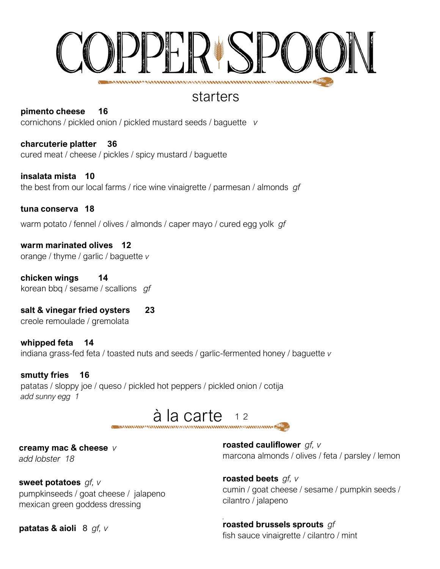

## starters

**pimento cheese 16**  cornichons / pickled onion / pickled mustard seeds / baguette *v* 

**charcuterie platter 36**  cured meat / cheese / pickles / spicy mustard / baguette

**insalata mista 10**  the best from our local farms / rice wine vinaigrette / parmesan / almonds *gf*

**tuna conserva 18**  warm potato / fennel / olives / almonds / caper mayo / cured egg yolk *gf*

**warm marinated olives 12**  orange / thyme / garlic / baguette *v*

**chicken wings 14**  korean bbq / sesame / scallions *gf*

**salt & vinegar fried oysters 23**  creole remoulade / gremolata

**whipped feta 14**  indiana grass-fed feta / toasted nuts and seeds / garlic-fermented honey / baguette *v*

**smutty fries 16**  patatas / sloppy joe / queso / pickled hot peppers / pickled onion / cotija *add sunny egg 1*

#### $\dot{a}$  la carte  $12$ **BAANAFANGAS**

**creamy mac & cheese** *v add lobster 18*

**sweet potatoes** *gf, v* pumpkinseeds / goat cheese / jalapeno mexican green goddess dressing

**roasted cauliflower** *gf, v* marcona almonds / olives / feta / parsley / lemon

cumin / goat cheese / sesame / pumpkin seeds / cilantro / jalapeno

**patatas & aioli** 8 *gf, v* 

**roasted brussels sprouts** *gf* fish sauce vinaigrette / cilantro / mint

**roasted beets** *gf, v*